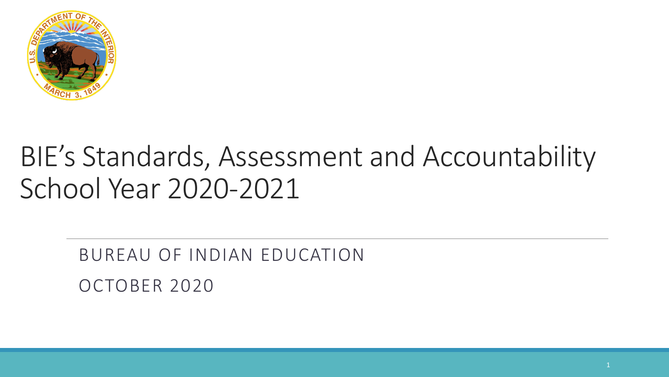

#### BIE's Standards, Assessment and Accountability School Year 2020-2021

#### BUREAU OF INDIAN EDUCATION OCTOBER 2020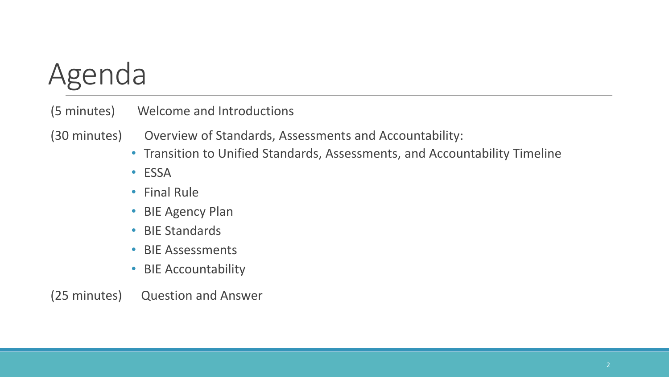#### Agenda

(5 minutes) Welcome and Introductions

(30 minutes) Overview of Standards, Assessments and Accountability:

- Transition to Unified Standards, Assessments, and Accountability Timeline
- ESSA
- Final Rule
- BIE Agency Plan
- BIE Standards
- BIE Assessments
- BIE Accountability

(25 minutes) Question and Answer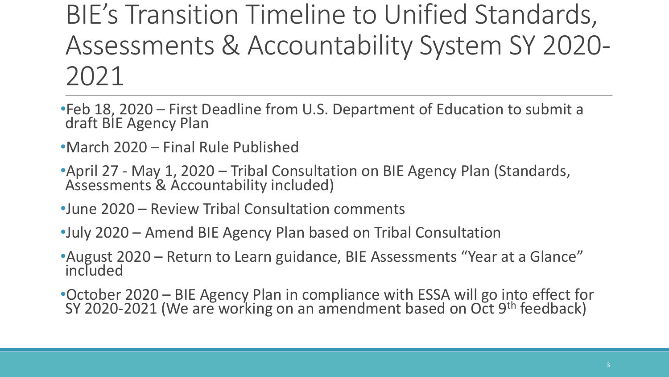#### BIE's Transition Timeline to Unified Standards, Assessments & Accountability System SY 2020- 2021

- •Feb 18, 2020 First Deadline from U.S. Department of Education to submit a draft BIE Agency Plan
- •March 2020 Final Rule Published
- •April 27 May 1, 2020 Tribal Consultation on BIE Agency Plan (Standards, Assessments & Accountability included)
- •June 2020 Review Tribal Consultation comments
- •July 2020 Amend BIE Agency Plan based on Tribal Consultation
- •August 2020 Return to Learn guidance, BIE Assessments "Year at a Glance" included
- •October 2020 BIE Agency Plan in compliance with ESSA will go into effect for SY 2020-2021 (We are working on an amendment based on Oct 9<sup>th</sup> feedback)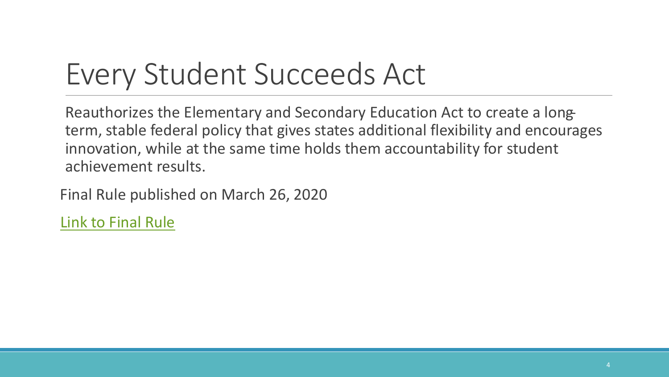#### Every Student Succeeds Act

Reauthorizes the Elementary and Secondary Education Act to create a longterm, stable federal policy that gives states additional flexibility and encourages innovation, while at the same time holds them accountability for student achievement results.

Final Rule published on March 26, 2020

[Link to Final Rule](https://www.govinfo.gov/content/pkg/FR-2020-03-26/pdf/2020-06148.pdf)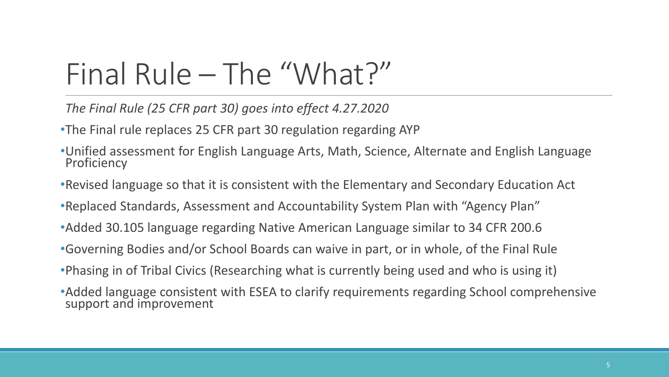#### Final Rule – The "What?"

*The Final Rule (25 CFR part 30) goes into effect 4.27.2020*

•The Final rule replaces 25 CFR part 30 regulation regarding AYP

- •Unified assessment for English Language Arts, Math, Science, Alternate and English Language **Proficiency**
- •Revised language so that it is consistent with the Elementary and Secondary Education Act
- •Replaced Standards, Assessment and Accountability System Plan with "Agency Plan"
- •Added 30.105 language regarding Native American Language similar to 34 CFR 200.6
- •Governing Bodies and/or School Boards can waive in part, or in whole, of the Final Rule
- •Phasing in of Tribal Civics (Researching what is currently being used and who is using it)
- •Added language consistent with ESEA to clarify requirements regarding School comprehensive support and improvement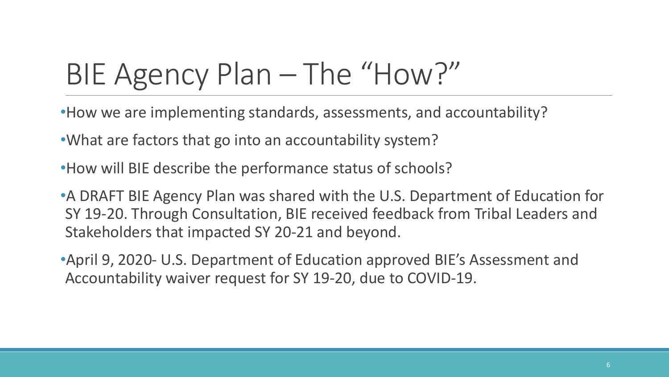# BIE Agency Plan – The "How?"

- •How we are implementing standards, assessments, and accountability?
- •What are factors that go into an accountability system?
- •How will BIE describe the performance status of schools?
- •A DRAFT BIE Agency Plan was shared with the U.S. Department of Education for SY 19-20. Through Consultation, BIE received feedback from Tribal Leaders and Stakeholders that impacted SY 20-21 and beyond.
- •April 9, 2020- U.S. Department of Education approved BIE's Assessment and Accountability waiver request for SY 19-20, due to COVID-19.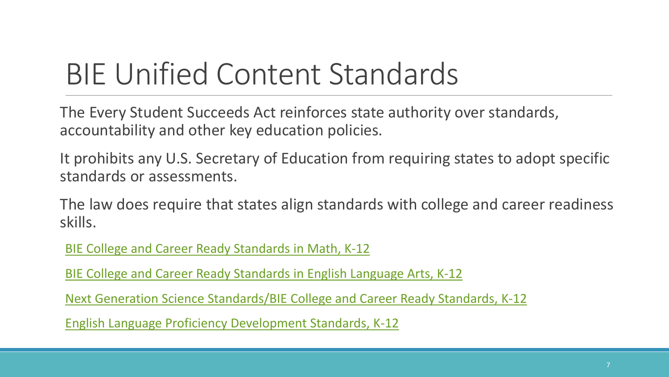#### BIE Unified Content Standards

The Every Student Succeeds Act reinforces state authority over standards, accountability and other key education policies.

It prohibits any U.S. Secretary of Education from requiring states to adopt specific standards or assessments.

The law does require that states align standards with college and career readiness skills.

[BIE College and Career Ready Standards in](http://www.corestandards.org/wp-content/uploads/Math_Standards1.pdf) Math, K-12

[BIE College and Career Ready Standards in](http://www.corestandards.org/wp-content/uploads/ELA_Standards1.pdf) English Language Arts, K-12

[Next Generation Science Standards/BIE College and Career Ready Standards, K-12](https://www.nextgenscience.org/search-standards)

[English Language Proficiency Development Standards, K-12](https://wida.wisc.edu/teach/standards/eld/2020)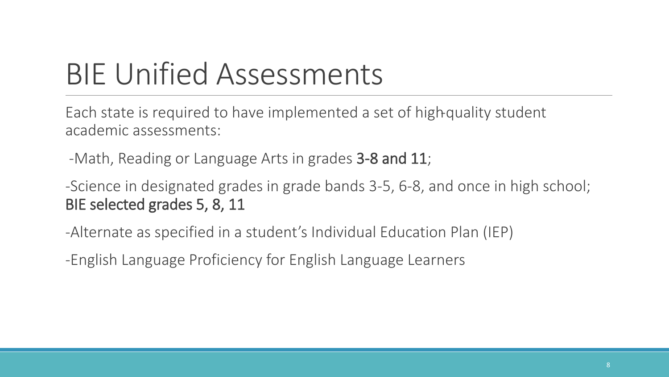## BIE Unified Assessments

Each state is required to have implemented a set of high-quality student academic assessments:

-Math, Reading or Language Arts in grades 3-8 and 11;

-Science in designated grades in grade bands 3-5, 6-8, and once in high school; BIE selected grades 5, 8, 11

-Alternate as specified in a student's Individual Education Plan (IEP)

-English Language Proficiency for English Language Learners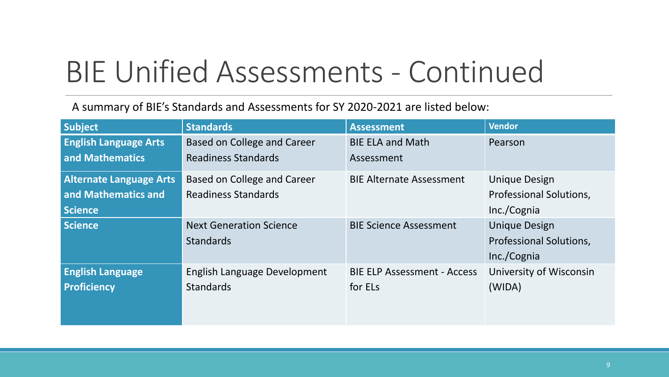### BIE Unified Assessments - Continued

A summary of BIE's Standards and Assessments for SY 2020-2021 are listed below:

| Subject                        | <b>Standards</b>               | <b>Assessment</b>                  | <b>Vendor</b>                  |
|--------------------------------|--------------------------------|------------------------------------|--------------------------------|
| <b>English Language Arts</b>   | Based on College and Career    |                                    | Pearson                        |
| and Mathematics                | Readiness Standards            | Assessment                         |                                |
| <b>Alternate Language Arts</b> | Based on College and Career    | <b>BIE Alternate Assessment</b>    | <b>Unique Design</b>           |
| and Mathematics and            | <b>Readiness Standards</b>     |                                    | <b>Professional Solutions,</b> |
| <b>Science</b>                 |                                |                                    | Inc./Cognia                    |
| <b>Science</b>                 | <b>Next Generation Science</b> | <b>BIE Science Assessment</b>      | <b>Unique Design</b>           |
|                                | <b>Standards</b>               |                                    | <b>Professional Solutions,</b> |
|                                |                                |                                    | Inc./Cognia                    |
| <b>English Language</b>        | English Language Development   | <b>BIE ELP Assessment - Access</b> | University of Wisconsin        |
| <b>Proficiency</b>             | <b>Standards</b>               | for ELs                            | (WIDA)                         |
|                                |                                |                                    |                                |
|                                |                                |                                    |                                |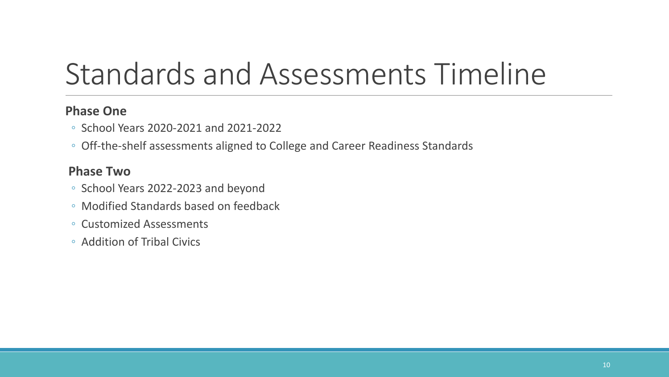#### Standards and Assessments Timeline

#### **Phase One**

- School Years 2020-2021 and 2021-2022
- Off-the-shelf assessments aligned to College and Career Readiness Standards

#### **Phase Two**

- School Years 2022-2023 and beyond
- Modified Standards based on feedback
- Customized Assessments
- Addition of Tribal Civics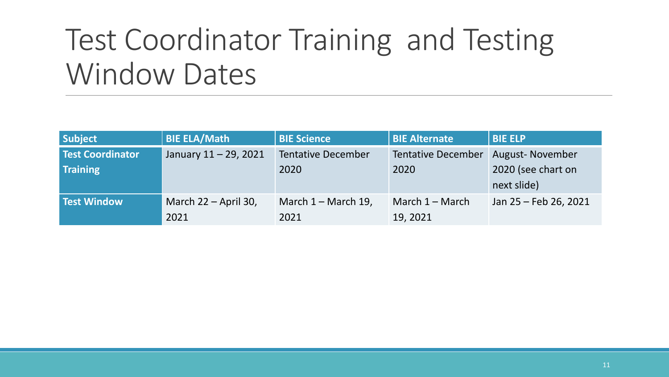#### Test Coordinator Training and Testing Window Dates

| <b>Subject</b>          | <b>BIE ELA/Math</b>   | <b>BIE Science</b>        | <b>BIE Alternate</b>      | <b>BIE ELP</b>         |
|-------------------------|-----------------------|---------------------------|---------------------------|------------------------|
| <b>Test Coordinator</b> | January 11 - 29, 2021 | <b>Tentative December</b> | <b>Tentative December</b> | <b>August-November</b> |
| <b>Training</b>         |                       | 2020                      | 2020                      | 2020 (see chart on     |
|                         |                       |                           |                           | next slide)            |
| Test Window             | March 22 – April 30,  | March $1 -$ March 19,     | March $1 -$ March         | Jan 25 - Feb 26, 2021  |
|                         | 2021                  | 2021                      | 19, 2021                  |                        |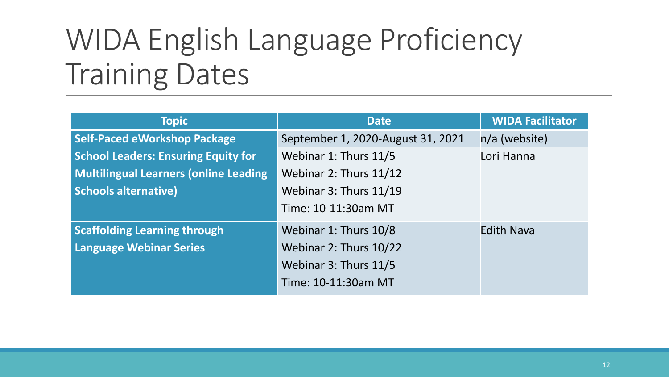#### WIDA English Language Proficiency Training Dates

| <b>Topic</b>                                 | <b>Date</b>                       | <b>WIDA Facilitator</b> |
|----------------------------------------------|-----------------------------------|-------------------------|
| <b>Self-Paced eWorkshop Package</b>          | September 1, 2020-August 31, 2021 | $n/a$ (website)         |
| <b>School Leaders: Ensuring Equity for</b>   | Webinar 1: Thurs 11/5             | Lori Hanna              |
| <b>Multilingual Learners (online Leading</b> | Webinar 2: Thurs 11/12            |                         |
| <b>Schools alternative)</b>                  | Webinar 3: Thurs 11/19            |                         |
|                                              | Time: 10-11:30am MT               |                         |
| <b>Scaffolding Learning through</b>          | Webinar 1: Thurs 10/8             | <b>Edith Nava</b>       |
| <b>Language Webinar Series</b>               | Webinar 2: Thurs 10/22            |                         |
|                                              | Webinar 3: Thurs 11/5             |                         |
|                                              | Time: 10-11:30am MT               |                         |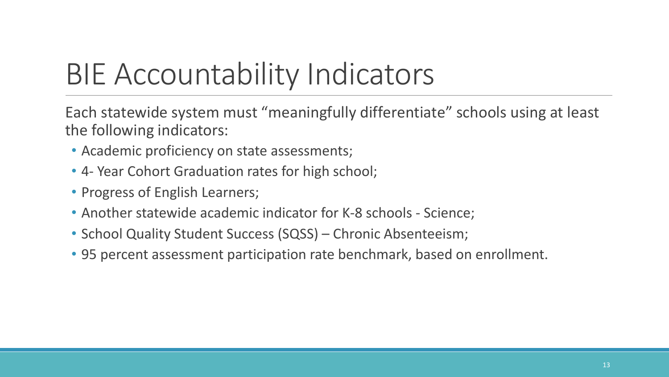# BIE Accountability Indicators

Each statewide system must "meaningfully differentiate" schools using at least the following indicators:

- Academic proficiency on state assessments;
- 4- Year Cohort Graduation rates for high school;
- Progress of English Learners;
- Another statewide academic indicator for K-8 schools Science;
- School Quality Student Success (SQSS) Chronic Absenteeism;
- 95 percent assessment participation rate benchmark, based on enrollment.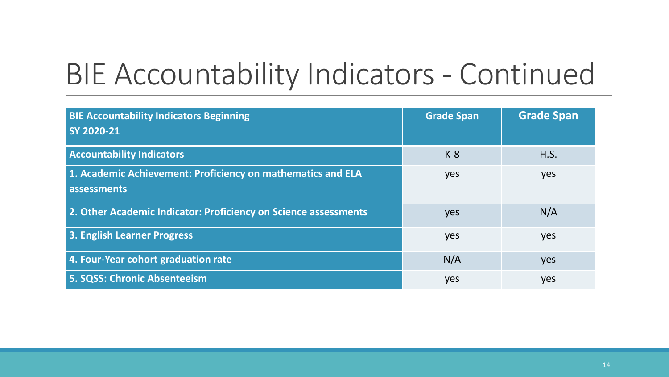#### BIE Accountability Indicators - Continued

| <b>BIE Accountability Indicators Beginning</b><br>SY 2020-21    | <b>Grade Span</b> | <b>Grade Span</b> |
|-----------------------------------------------------------------|-------------------|-------------------|
|                                                                 |                   |                   |
| <b>Accountability Indicators</b>                                | $K-8$             | H.S.              |
| 1. Academic Achievement: Proficiency on mathematics and ELA     | yes               | yes               |
| assessments                                                     |                   |                   |
| 2. Other Academic Indicator: Proficiency on Science assessments | yes               | N/A               |
| 3. English Learner Progress                                     | yes               | yes               |
| 4. Four-Year cohort graduation rate                             | N/A               | yes               |
| 5. SQSS: Chronic Absenteeism                                    | yes               | yes               |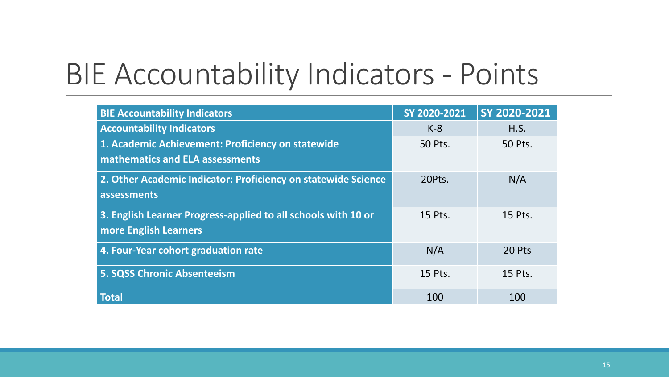#### BIE Accountability Indicators - Points

| <b>BIE Accountability Indicators</b>                                                 | SY 2020-2021 | SY 2020-2021 |
|--------------------------------------------------------------------------------------|--------------|--------------|
| <b>Accountability Indicators</b>                                                     | $K-8$        | H.S.         |
| 1. Academic Achievement: Proficiency on statewide<br>mathematics and ELA assessments | 50 Pts.      | 50 Pts.      |
|                                                                                      |              |              |
| 2. Other Academic Indicator: Proficiency on statewide Science                        | 20Pts.       | N/A          |
| assessments                                                                          |              |              |
| 3. English Learner Progress-applied to all schools with 10 or                        | 15 Pts.      | 15 Pts.      |
| more English Learners                                                                |              |              |
| 4. Four-Year cohort graduation rate                                                  | N/A          | 20 Pts       |
| <b>5. SQSS Chronic Absenteeism</b>                                                   | 15 Pts.      | 15 Pts.      |
| <b>Total</b>                                                                         | 100          | 100          |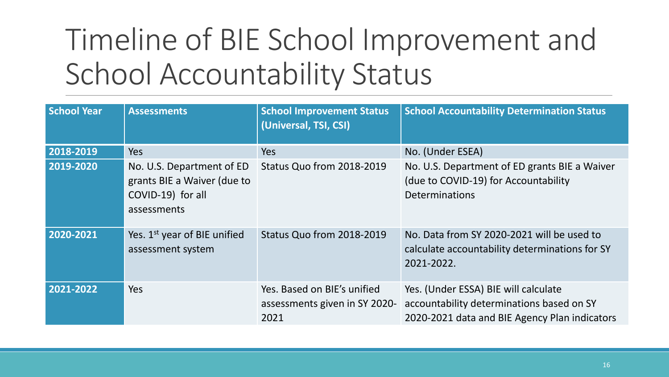# Timeline of BIE School Improvement and School Accountability Status

| <b>School Year</b> | <b>Assessments</b>                                                                           | <b>School Improvement Status</b><br>(Universal, TSI, CSI)            | <b>School Accountability Determination Status</b>                                                                                  |
|--------------------|----------------------------------------------------------------------------------------------|----------------------------------------------------------------------|------------------------------------------------------------------------------------------------------------------------------------|
| 2018-2019          | Yes                                                                                          | <b>Yes</b>                                                           | No. (Under ESEA)                                                                                                                   |
| 2019-2020          | No. U.S. Department of ED<br>grants BIE a Waiver (due to<br>COVID-19) for all<br>assessments | Status Quo from 2018-2019                                            | No. U.S. Department of ED grants BIE a Waiver<br>(due to COVID-19) for Accountability<br><b>Determinations</b>                     |
| 2020-2021          | Yes. 1 <sup>st</sup> year of BIE unified<br>assessment system                                | Status Quo from 2018-2019                                            | No. Data from SY 2020-2021 will be used to<br>calculate accountability determinations for SY<br>2021-2022.                         |
| 2021-2022          | Yes                                                                                          | Yes. Based on BIE's unified<br>assessments given in SY 2020-<br>2021 | Yes. (Under ESSA) BIE will calculate<br>accountability determinations based on SY<br>2020-2021 data and BIE Agency Plan indicators |